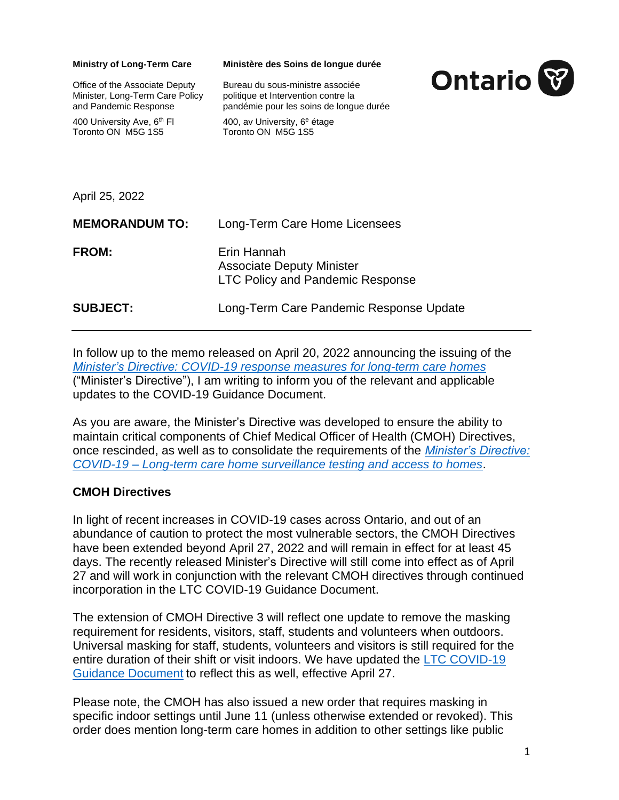| <b>Ministry of Long-Term Care</b>                                                          | Ministère des Soins de longue durée                                                                                |                |
|--------------------------------------------------------------------------------------------|--------------------------------------------------------------------------------------------------------------------|----------------|
| Office of the Associate Deputy<br>Minister, Long-Term Care Policy<br>and Pandemic Response | Bureau du sous-ministre associée<br>politique et Intervention contre la<br>pandémie pour les soins de longue durée | <b>Ontario</b> |
| 400 University Ave, 6 <sup>th</sup> FI<br>Toronto ON M5G 1S5                               | 400, av University, 6 <sup>e</sup> étage<br>Toronto ON M5G 1S5                                                     |                |
| April 25, 2022                                                                             |                                                                                                                    |                |
| <b>MEMORANDUM TO:</b>                                                                      | Long-Term Care Home Licensees                                                                                      |                |
| <b>FROM:</b>                                                                               | Erin Hannah<br><b>Associate Deputy Minister</b><br><b>LTC Policy and Pandemic Response</b>                         |                |
| <b>SUBJECT:</b>                                                                            | Long-Term Care Pandemic Response Update                                                                            |                |

In follow up to the memo released on April 20, 2022 announcing the issuing of the *[Minister's Directive: COVID-19 response measures for long-term care homes](https://ltchomes.net/LTCHPORTAL/Content/Minister%E2%80%99s%20Directive%20-%20COVID-19%20response%20measures%20for%20long-term%20care%20homes%202022.04.20.pdf)* ("Minister's Directive"), I am writing to inform you of the relevant and applicable updates to the COVID-19 Guidance Document.

As you are aware, the Minister's Directive was developed to ensure the ability to maintain critical components of Chief Medical Officer of Health (CMOH) Directives, once rescinded, as well as to consolidate the requirements of the *[Minister's Directive:](https://www.ontario.ca/page/covid-19-long-term-care-home-surveillance-testing)  COVID-19 – [Long-term care home surveillance testing and access to homes](https://www.ontario.ca/page/covid-19-long-term-care-home-surveillance-testing)*.

## **CMOH Directives**

In light of recent increases in COVID-19 cases across Ontario, and out of an abundance of caution to protect the most vulnerable sectors, the CMOH Directives have been extended beyond April 27, 2022 and will remain in effect for at least 45 days. The recently released Minister's Directive will still come into effect as of April 27 and will work in conjunction with the relevant CMOH directives through continued incorporation in the LTC COVID-19 Guidance Document.

The extension of CMOH Directive 3 will reflect one update to remove the masking requirement for residents, visitors, staff, students and volunteers when outdoors. Universal masking for staff, students, volunteers and visitors is still required for the entire duration of their shift or visit indoors. We have updated the [LTC COVID-19](https://www.ontario.ca/page/covid-19-guidance-document-long-term-care-homes-ontario)  Guidance Document [to reflect this as well, effective April 27.](https://www.ontario.ca/page/covid-19-guidance-document-long-term-care-homes-ontario)

Please note, the CMOH has also issued a new order that requires masking in specific indoor settings until June 11 (unless otherwise extended or revoked). This order does mention long-term care homes in addition to other settings like public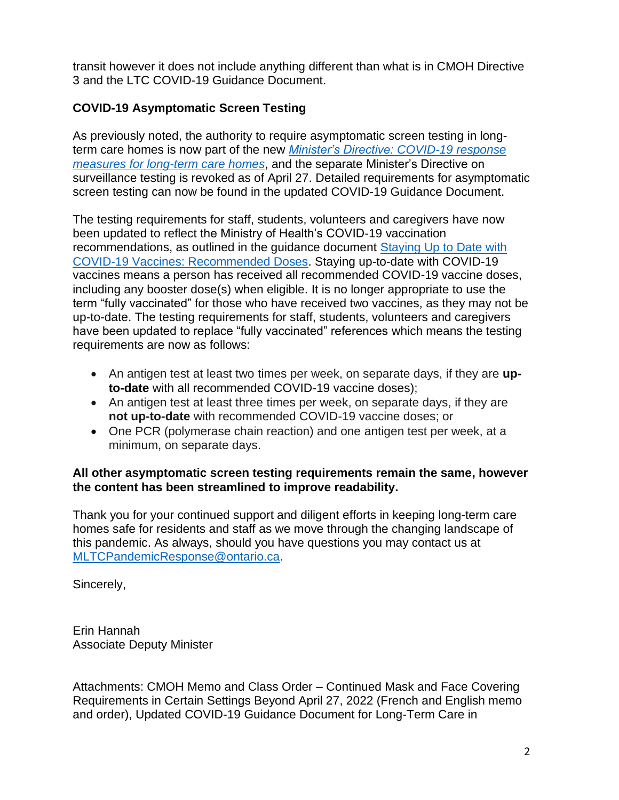transit however it does not include anything different than what is in CMOH Directive 3 and the LTC COVID-19 Guidance Document.

## **COVID-19 Asymptomatic Screen Testing**

As previously noted, the authority to require asymptomatic screen testing in longterm care homes is now part of the new *[Minister's Directive: COVID-19 response](https://ltchomes.net/LTCHPORTAL/Content/Minister%E2%80%99s%20Directive%20-%20COVID-19%20response%20measures%20for%20long-term%20care%20homes%202022.04.20.pdf)  [measures for long-term care homes](https://ltchomes.net/LTCHPORTAL/Content/Minister%E2%80%99s%20Directive%20-%20COVID-19%20response%20measures%20for%20long-term%20care%20homes%202022.04.20.pdf)*, and the separate Minister's Directive on surveillance testing is revoked as of April 27. Detailed requirements for asymptomatic screen testing can now be found in the updated COVID-19 Guidance Document.

The testing requirements for staff, students, volunteers and caregivers have now been updated to reflect the Ministry of Health's COVID-19 vaccination recommendations, as outlined in the guidance document [Staying Up to Date with](https://www.health.gov.on.ca/en/pro/programs/publichealth/coronavirus/docs/vaccine/COVID_19_vaccine_up_to_date.pdf)  [COVID-19 Vaccines: Recommended Doses.](https://www.health.gov.on.ca/en/pro/programs/publichealth/coronavirus/docs/vaccine/COVID_19_vaccine_up_to_date.pdf) Staying up-to-date with COVID-19 vaccines means a person has received all recommended COVID-19 vaccine doses, including any booster dose(s) when eligible. It is no longer appropriate to use the term "fully vaccinated" for those who have received two vaccines, as they may not be up-to-date. The testing requirements for staff, students, volunteers and caregivers have been updated to replace "fully vaccinated" references which means the testing requirements are now as follows:

- An antigen test at least two times per week, on separate days, if they are **upto-date** with all recommended COVID-19 vaccine doses);
- An antigen test at least three times per week, on separate days, if they are **not up-to-date** with recommended COVID-19 vaccine doses; or
- One PCR (polymerase chain reaction) and one antigen test per week, at a minimum, on separate days.

## **All other asymptomatic screen testing requirements remain the same, however the content has been streamlined to improve readability.**

Thank you for your continued support and diligent efforts in keeping long-term care homes safe for residents and staff as we move through the changing landscape of this pandemic. As always, should you have questions you may contact us at [MLTCPandemicResponse@ontario.ca.](mailto:MLTCPandemicResponse@ontario.ca)

Sincerely,

Erin Hannah Associate Deputy Minister

Attachments: CMOH Memo and Class Order – Continued Mask and Face Covering Requirements in Certain Settings Beyond April 27, 2022 (French and English memo and order), Updated COVID-19 Guidance Document for Long-Term Care in